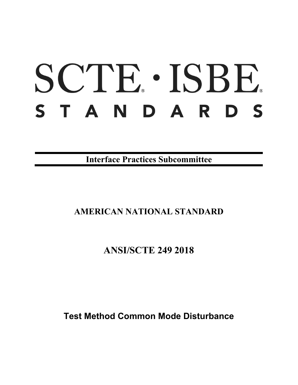# SCTE · ISBE. STANDARDS

**Interface Practices Subcommittee**

# **AMERICAN NATIONAL STANDARD**

# **ANSI/SCTE 249 2018**

**Test Method Common Mode Disturbance**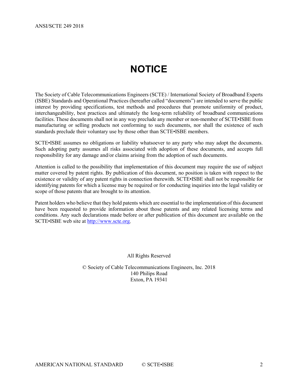# **NOTICE**

<span id="page-1-0"></span>The Society of Cable Telecommunications Engineers (SCTE) / International Society of Broadband Experts (ISBE) Standards and Operational Practices (hereafter called "documents") are intended to serve the public interest by providing specifications, test methods and procedures that promote uniformity of product, interchangeability, best practices and ultimately the long-term reliability of broadband communications facilities. These documents shall not in any way preclude any member or non-member of SCTE•ISBE from manufacturing or selling products not conforming to such documents, nor shall the existence of such standards preclude their voluntary use by those other than SCTE•ISBE members.

SCTE•ISBE assumes no obligations or liability whatsoever to any party who may adopt the documents. Such adopting party assumes all risks associated with adoption of these documents, and accepts full responsibility for any damage and/or claims arising from the adoption of such documents.

Attention is called to the possibility that implementation of this document may require the use of subject matter covered by patent rights. By publication of this document, no position is taken with respect to the existence or validity of any patent rights in connection therewith. SCTE•ISBE shall not be responsible for identifying patents for which a license may be required or for conducting inquiries into the legal validity or scope of those patents that are brought to its attention.

Patent holders who believe that they hold patents which are essential to the implementation of this document have been requested to provide information about those patents and any related licensing terms and conditions. Any such declarations made before or after publication of this document are available on the SCTE•ISBE web site at [http://www.scte.org.](http://www.scte.org/)

All Rights Reserved

© Society of Cable Telecommunications Engineers, Inc. 2018 140 Philips Road Exton, PA 19341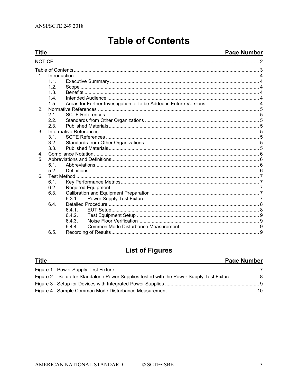<span id="page-2-0"></span>**Title** 

# **Table of Contents**

## **Page Number**

| 1              |      |        |  |  |
|----------------|------|--------|--|--|
|                | 1.1. |        |  |  |
|                | 1.2. |        |  |  |
|                | 1.3. |        |  |  |
|                | 1.4  |        |  |  |
|                | 1.5. |        |  |  |
| 2.             |      |        |  |  |
|                | 2.1. |        |  |  |
|                | 2.2. |        |  |  |
|                | 2.3. |        |  |  |
| 3 <sub>1</sub> |      |        |  |  |
|                | 3.1. |        |  |  |
|                | 3.2. |        |  |  |
|                | 3.3. |        |  |  |
| 4.             |      |        |  |  |
| 5.             |      |        |  |  |
|                | 5.1  |        |  |  |
|                | 5.2. |        |  |  |
| 6.             |      |        |  |  |
|                | 6.1. |        |  |  |
|                | 6.2. |        |  |  |
|                | 6.3. |        |  |  |
|                |      | 631    |  |  |
|                | 6.4. |        |  |  |
|                |      | 6.4.1. |  |  |
|                |      | 6.4.2. |  |  |
|                |      | 6.4.3. |  |  |
|                |      | 644    |  |  |
|                | 6.5. |        |  |  |
|                |      |        |  |  |

# **List of Figures**

| <b>Title</b> | <b>Page Number</b> |
|--------------|--------------------|
|              |                    |
|              |                    |
|              |                    |
|              |                    |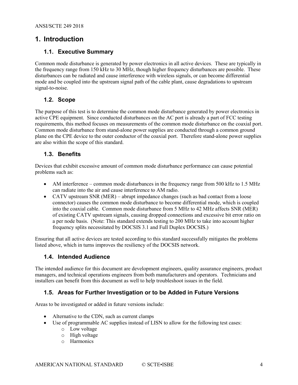#### <span id="page-3-1"></span><span id="page-3-0"></span>**1. Introduction**

#### **1.1. Executive Summary**

Common mode disturbance is generated by power electronics in all active devices. These are typically in the frequency range from 150 kHz to 30 MHz, though higher frequency disturbances are possible. These disturbances can be radiated and cause interference with wireless signals, or can become differential mode and be coupled into the upstream signal path of the cable plant, cause degradations to upstream signal-to-noise.

#### <span id="page-3-2"></span>**1.2. Scope**

The purpose of this test is to determine the common mode disturbance generated by power electronics in active CPE equipment. Since conducted disturbances on the AC port is already a part of FCC testing requirements, this method focuses on measurements of the common mode disturbance on the coaxial port. Common mode disturbance from stand-alone power supplies are conducted through a common ground plane on the CPE device to the outer conductor of the coaxial port. Therefore stand-alone power supplies are also within the scope of this standard.

#### <span id="page-3-3"></span>**1.3. Benefits**

Devices that exhibit excessive amount of common mode disturbance performance can cause potential problems such as:

- AM interference common mode disturbances in the frequency range from 500 kHz to 1.5 MHz can radiate into the air and cause interference to AM radio.
- CATV upstream SNR (MER) abrupt impedance changes (such as bad contact from a loose connector) causes the common mode disturbance to become differential mode, which is coupled into the coaxial cable. Common mode disturbance from 5 MHz to 42 MHz affects SNR (MER) of existing CATV upstream signals, causing dropped connections and excessive bit error ratio on a per node basis. (Note: This standard extends testing to 200 MHz to take into account higher frequency splits necessitated by DOCSIS 3.1 and Full Duplex DOCSIS.)

Ensuring that all active devices are tested according to this standard successfully mitigates the problems listed above, which in turns improves the resiliency of the DOCSIS network.

#### <span id="page-3-4"></span>**1.4. Intended Audience**

The intended audience for this document are development engineers, quality assurance engineers, product managers, and technical operations engineers from both manufacturers and operators. Technicians and installers can benefit from this document as well to help troubleshoot issues in the field.

#### <span id="page-3-5"></span>**1.5. Areas for Further Investigation or to be Added in Future Versions**

Areas to be investigated or added in future versions include:

- Alternative to the CDN, such as current clamps
- Use of programmable AC supplies instead of LISN to allow for the following test cases:
	- o Low voltage
	- o High voltage
	- o Harmonics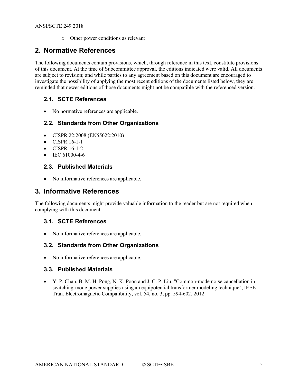o Other power conditions as relevant

## <span id="page-4-0"></span>**2. Normative References**

The following documents contain provisions, which, through reference in this text, constitute provisions of this document. At the time of Subcommittee approval, the editions indicated were valid. All documents are subject to revision; and while parties to any agreement based on this document are encouraged to investigate the possibility of applying the most recent editions of the documents listed below, they are reminded that newer editions of those documents might not be compatible with the referenced version.

#### <span id="page-4-1"></span>**2.1. SCTE References**

• No normative references are applicable.

#### <span id="page-4-2"></span>**2.2. Standards from Other Organizations**

- CISPR 22:2008 (EN55022:2010)
- CISPR 16-1-1
- CISPR 16-1-2
- IEC 61000-4-6

#### <span id="page-4-3"></span>**2.3. Published Materials**

• No informative references are applicable.

#### <span id="page-4-4"></span>**3. Informative References**

The following documents might provide valuable information to the reader but are not required when complying with this document.

#### <span id="page-4-5"></span>**3.1. SCTE References**

<span id="page-4-6"></span>• No informative references are applicable.

#### **3.2. Standards from Other Organizations**

• No informative references are applicable.

#### <span id="page-4-7"></span>**3.3. Published Materials**

• Y. P. Chan, B. M. H. Pong, N. K. Poon and J. C. P. Liu, "Common-mode noise cancellation in switching-mode power supplies using an equipotential transformer modeling technique", IEEE Tran. Electromagnetic Compatibility, vol. 54, no. 3, pp. 594-602, 2012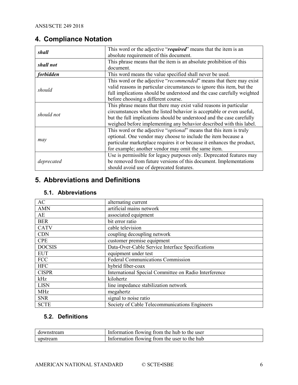# <span id="page-5-0"></span>**4. Compliance Notation**

| shall            | This word or the adjective "required" means that the item is an              |
|------------------|------------------------------------------------------------------------------|
|                  | absolute requirement of this document.                                       |
| shall not        | This phrase means that the item is an absolute prohibition of this           |
|                  | document.                                                                    |
| <i>forbidden</i> | This word means the value specified shall never be used.                     |
|                  | This word or the adjective "recommended" means that there may exist          |
| should           | valid reasons in particular circumstances to ignore this item, but the       |
|                  | full implications should be understood and the case carefully weighted       |
|                  | before choosing a different course.                                          |
|                  | This phrase means that there may exist valid reasons in particular           |
| should not       | circumstances when the listed behavior is acceptable or even useful,         |
|                  | but the full implications should be understood and the case carefully        |
|                  | weighed before implementing any behavior described with this label.          |
|                  | This word or the adjective " <i>optional</i> " means that this item is truly |
|                  | optional. One vendor may choose to include the item because a                |
| may              | particular marketplace requires it or because it enhances the product,       |
|                  | for example; another vendor may omit the same item.                          |
|                  | Use is permissible for legacy purposes only. Deprecated features may         |
| deprecated       | be removed from future versions of this document. Implementations            |
|                  | should avoid use of deprecated features.                                     |

## <span id="page-5-1"></span>**5. Abbreviations and Definitions**

### <span id="page-5-2"></span>**5.1. Abbreviations**

| AC            | alternating current                                   |
|---------------|-------------------------------------------------------|
| <b>AMN</b>    | artificial mains network                              |
| AE            | associated equipment                                  |
| <b>BER</b>    | bit error ratio                                       |
| <b>CATV</b>   | cable television                                      |
| <b>CDN</b>    | coupling decoupling network                           |
| <b>CPE</b>    | customer premise equipment                            |
| <b>DOCSIS</b> | Data-Over-Cable Service Interface Specifications      |
| <b>EUT</b>    | equipment under test                                  |
| <b>FCC</b>    | <b>Federal Communications Commission</b>              |
| <b>HFC</b>    | hybrid fiber-coax                                     |
| <b>CISPR</b>  | International Special Committee on Radio Interference |
| kHz           | kilohertz                                             |
| <b>LISN</b>   | line impedance stabilization network                  |
| <b>MHz</b>    | megahertz                                             |
| <b>SNR</b>    | signal to noise ratio                                 |
| <b>SCTE</b>   | Society of Cable Telecommunications Engineers         |

#### <span id="page-5-3"></span>**5.2. Definitions**

| downstream | Information flowing from the hub to the user |
|------------|----------------------------------------------|
| upstream   | Information flowing from the user to the hub |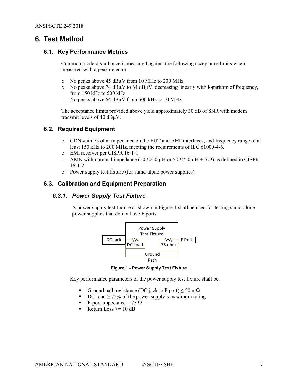#### <span id="page-6-1"></span><span id="page-6-0"></span>**6. Test Method**

#### **6.1. Key Performance Metrics**

Common mode disturbance is measured against the following acceptance limits when measured with a peak detector:

- o No peaks above 45 dB $\mu$ V from 10 MHz to 200 MHz<br>o No peaks above 74 dB $\mu$ V to 64 dB $\mu$ V, decreasing lin
- No peaks above 74  $dB\mu V$  to 64  $dB\mu V$ , decreasing linearly with logarithm of frequency, from 150 kHz to 500 kHz
- o No peaks above 64 dBµV from 500 kHz to 10 MHz

The acceptance limits provided above yield approximately 30 dB of SNR with modem transmit levels of 40 dBµV.

#### <span id="page-6-2"></span>**6.2. Required Equipment**

- o CDN with 75 ohm impedance on the EUT and AET interfaces, and frequency range of at least 150 kHz to 200 MHz, meeting the requirements of IEC 61000-4-6.
- o EMI receiver per CISPR 16-1-1
- o AMN with nominal impedance (50 Ω/50 µH or 50 Ω/50 µH + 5 Ω) as defined in CISPR 16-1-2
- o Power supply test fixture (for stand-alone power supplies)

#### <span id="page-6-4"></span><span id="page-6-3"></span>**6.3. Calibration and Equipment Preparation**

#### *6.3.1. Power Supply Test Fixture*

A power supply test fixture as shown in Figure 1 shall be used for testing stand-alone power supplies that do not have F ports.



**Figure 1 - Power Supply Test Fixture**

<span id="page-6-5"></span>Key performance parameters of the power supply test fixture shall be:

- Ground path resistance (DC jack to F port)  $\leq$  50 m $\Omega$
- DC load  $\geq$  75% of the power supply's maximum rating
- F-port impedance = 75  $\Omega$
- Return Loss  $\ge$  = 10 dB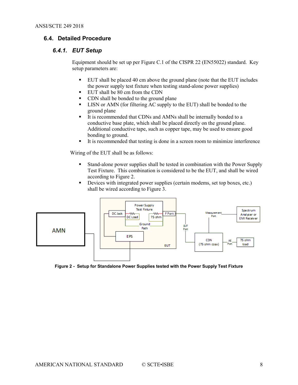#### <span id="page-7-1"></span><span id="page-7-0"></span>**6.4. Detailed Procedure**

#### *6.4.1. EUT Setup*

Equipment should be set up per Figure C.1 of the CISPR 22 (EN55022) standard. Key setup parameters are:

- EUT shall be placed 40 cm above the ground plane (note that the EUT includes the power supply test fixture when testing stand-alone power supplies)
- EUT shall be 80 cm from the CDN
- CDN shall be bonded to the ground plane
- LISN or AMN (for filtering AC supply to the EUT) shall be bonded to the ground plane
- It is recommended that CDNs and AMNs shall be internally bonded to a conductive base plate, which shall be placed directly on the ground plane. Additional conductive tape, such as copper tape, may be used to ensure good bonding to ground.
- It is recommended that testing is done in a screen room to minimize interference

Wiring of the EUT shall be as follows:

- Stand-alone power supplies shall be tested in combination with the Power Supply Test Fixture. This combination is considered to be the EUT, and shall be wired according to Figure 2.
- Devices with integrated power supplies (certain modems, set top boxes, etc.) shall be wired according to Figure 3.



<span id="page-7-2"></span>**Figure 2 - Setup for Standalone Power Supplies tested with the Power Supply Test Fixture**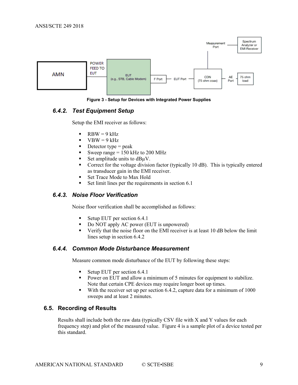

**Figure 3 - Setup for Devices with Integrated Power Supplies**

#### <span id="page-8-4"></span><span id="page-8-0"></span>*6.4.2. Test Equipment Setup*

Setup the EMI receiver as follows:

- $RBW = 9 kHz$
- $VBW = 9 kHz$
- $\blacksquare$  Detector type = peak
- Sweep range  $= 150$  kHz to 200 MHz
- Set amplitude units to  $dB\mu V$ .
- Correct for the voltage division factor (typically 10 dB). This is typically entered as transducer gain in the EMI receiver.
- Set Trace Mode to Max Hold
- Set limit lines per the requirements in section 6.1

#### <span id="page-8-1"></span>*6.4.3. Noise Floor Verification*

Noise floor verification shall be accomplished as follows:

- Setup EUT per section 6.4.1
- Do NOT apply AC power (EUT is unpowered)
- Verify that the noise floor on the EMI receiver is at least 10 dB below the limit lines setup in section 6.4.2

#### <span id="page-8-2"></span>*6.4.4. Common Mode Disturbance Measurement*

Measure common mode disturbance of the EUT by following these steps:

- Setup EUT per section 6.4.1
- Power on EUT and allow a minimum of 5 minutes for equipment to stabilize. Note that certain CPE devices may require longer boot up times.
- With the receiver set up per section 6.4.2, capture data for a minimum of 1000 sweeps and at least 2 minutes.

#### <span id="page-8-3"></span>**6.5. Recording of Results**

Results shall include both the raw data (typically CSV file with X and Y values for each frequency step) and plot of the measured value. Figure 4 is a sample plot of a device tested per this standard.